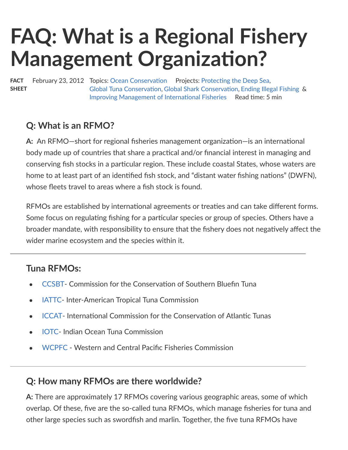# **FAQ: What is a Regional Fishery Management Organization?**

FACT **SHEET** February 23, 2012 Topics: [Ocean Conserva](https://www.pewtrusts.org/en/topics/oceans)tion Projects: Protecti[ng the Deep Sea](https://www.pewtrusts.org/en/projects/archived-projects/protecting-the-deep-sea), [Global Tuna Conserva](https://www.pewtrusts.org/en/projects/archived-projects/global-tuna-conservation)tion, [Global Shark Conserva](https://www.pewtrusts.org/en/projects/archived-projects/global-shark-conservation)tion, [Ending Illegal Fishing](https://www.pewtrusts.org/en/projects/ending-illegal-fishing-project) & [Improving Management of Interna](https://www.pewtrusts.org/en/projects/improving-management-of-international-fisheries)tional Fisheries Read time: 5 min

#### **Q: What is an RFMO?**

**A:** An RFMO—short for regional fisheries management organization—is an international body made up of countries that share a practical and/or financial interest in managing and conserving fish stocks in a particular region. These include coastal States, whose waters are home to at least part of an identified fish stock, and "distant water fishing nations" (DWFN), whose fleets travel to areas where a fish stock is found.

RFMOs are established by international agreements or treaties and can take different forms. Some focus on regulating fishing for a particular species or group of species. Others have a broader mandate, with responsibility to ensure that the fishery does not negatively affect the wider marine ecosystem and the species within it.

#### **Tuna RFMOs:**

- [CCSBT-](http://www.ccsbt.org/site/) Commission for the Conservation of Southern Bluefin Tuna
- [IATTC-](https://www.pewtrusts.org/news-room/compilations/international-policy-inter-american-tropical-tuna-commission-iattc-329247) Inter-American Tropical Tuna Commission  $\bullet$
- [ICCAT-](https://www.pewtrusts.org/news-room/compilations/international-policy-international-commission-for-the-conservation-of-atlantic-tunas-iccat-328493) International Commission for the Conservation of Atlantic Tunas  $\bullet$
- [IOTC](http://www.iotc.org/English/index.php) Indian Ocean Tuna Commission
- [WCPFC](https://www.pewtrusts.org/news-room/compilations/international-policy-western-and-central-pacific-fisheries-commission-329224) Western and Central Pacific Fisheries Commission

#### **Q: How many RFMOs are there worldwide?**

**A:** There are approximately 17 RFMOs covering various geographic areas, some of which overlap. Of these, five are the so-called tuna RFMOs, which manage fisheries for tuna and other large species such as swordfish and marlin. Together, the five tuna RFMOs have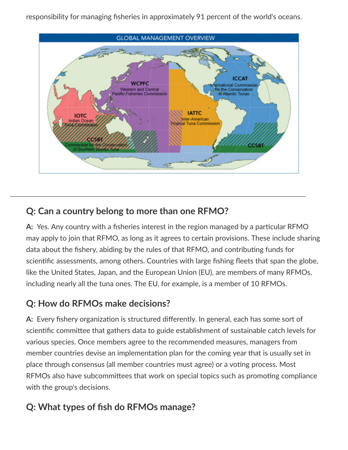responsibility for managing fisheries in approximately 91 percent of the world's oceans.



#### **Q: Can a country belong to more than one RFMO?**

**A:** Yes. Any country with a fisheries interest in the region managed by a particular RFMO may apply to join that RFMO, as long as it agrees to certain provisions. These include sharing data about the fishery, abiding by the rules of that RFMO, and contributing funds for scientific assessments, among others. Countries with large fishing fleets that span the globe, like the United States, Japan, and the European Union (EU), are members of many RFMOs, including nearly all the tuna ones. The EU, for example, is a member of 10 RFMOs.

## **Q: How do RFMOs make decisions?**

A: Every fishery organization is structured differently. In general, each has some sort of scientific committee that gathers data to guide establishment of sustainable catch levels for various species. Once members agree to the recommended measures, managers from member countries devise an implementation plan for the coming year that is usually set in place through consensus (all member countries must agree) or a voting process. Most RFMOs also have subcommittees that work on special topics such as promoting compliance with the group's decisions.

# **Q: What types of fish do RFMOs manage?**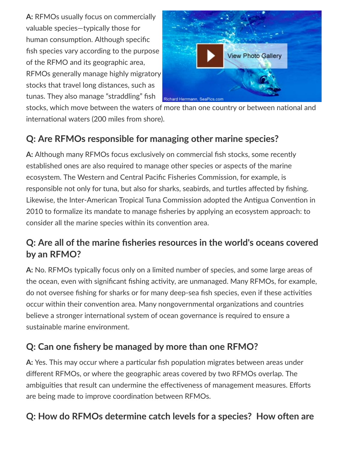**A:** RFMOs usually focus on commercially valuable species—typically those for human consumption. Although specific fish species vary according to the purpose of the RFMO and its geographic area, RFMOs generally manage highly migratory stocks that travel long distances, such as tunas. They also manage "straddling" fish



stocks, which move between the waters of more than one country or between national and international waters (200 miles from shore).

# **Q: Are RFMOs responsible for managing other marine species?**

**A:** Although many RFMOs focus exclusively on commercial fish stocks, some recently established ones are also required to manage other species or aspects of the marine ecosystem. The Western and Central Pacific Fisheries Commission, for example, is responsible not only for tuna, but also for sharks, seabirds, and turtles affected by fishing. Likewise, the Inter-American Tropical Tuna Commission adopted the Antigua Convention in 2010 to formalize its mandate to manage fisheries by applying an ecosystem approach: to consider all the marine species within its convention area.

## **Q: Are all of the marine fisheries resources in the world's oceans covered by an RFMO?**

**A:** No. RFMOs typically focus only on a limited number of species, and some large areas of the ocean, even with significant fishing activity, are unmanaged. Many RFMOs, for example, do not oversee fishing for sharks or for many deep-sea fish species, even if these activities occur within their convention area. Many nongovernmental organizations and countries believe a stronger international system of ocean governance is required to ensure a sustainable marine environment.

## **Q: Can one fishery be managed by more than one RFMO?**

A: Yes. This may occur where a particular fish population migrates between areas under different RFMOs, or where the geographic areas covered by two RFMOs overlap. The ambiguities that result can undermine the effectiveness of management measures. Efforts are being made to improve coordination between RFMOs.

## **Q: How do RFMOs determine catch levels for a species? How often are**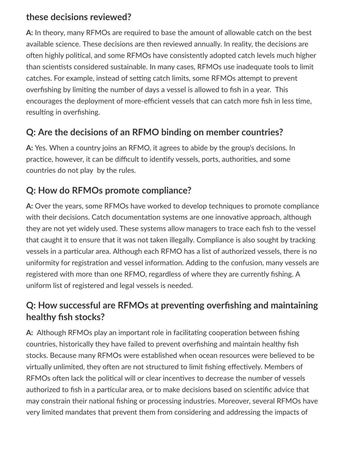#### **these decisions reviewed?**

**A:** In theory, many RFMOs are required to base the amount of allowable catch on the best available science. These decisions are then reviewed annually. In reality, the decisions are often highly political, and some RFMOs have consistently adopted catch levels much higher than scientists considered sustainable. In many cases, RFMOs use inadequate tools to limit catches. For example, instead of setting catch limits, some RFMOs attempt to prevent overfishing by limiting the number of days a vessel is allowed to fish in a year. This encourages the deployment of more-efficient vessels that can catch more fish in less time, resulting in overfishing.

#### **Q: Are the decisions of an RFMO binding on member countries?**

**A:** Yes. When a country joins an RFMO, it agrees to abide by the group's decisions. In practice, however, it can be difficult to identify vessels, ports, authorities, and some countries do not play by the rules.

# **Q: How do RFMOs promote compliance?**

**A:** Over the years, some RFMOs have worked to develop techniques to promote compliance with their decisions. Catch documentation systems are one innovative approach, although they are not yet widely used. These systems allow managers to trace each fish to the vessel that caught it to ensure that it was not taken illegally. Compliance is also sought by tracking vessels in a particular area. Although each RFMO has a list of authorized vessels, there is no uniformity for registration and vessel information. Adding to the confusion, many vessels are registered with more than one RFMO, regardless of where they are currently fishing. A uniform list of registered and legal vessels is needed.

## **Q: How successful are RFMOs at preven!ng overfishing and maintaining healthy fish stocks?**

**A:** Although RFMOs play an important role in facilitating cooperation between fishing countries, historically they have failed to prevent overfishing and maintain healthy fish stocks. Because many RFMOs were established when ocean resources were believed to be virtually unlimited, they often are not structured to limit fishing effectively. Members of RFMOs often lack the political will or clear incentives to decrease the number of vessels authorized to fish in a particular area, or to make decisions based on scientific advice that may constrain their national fishing or processing industries. Moreover, several RFMOs have very limited mandates that prevent them from considering and addressing the impacts of